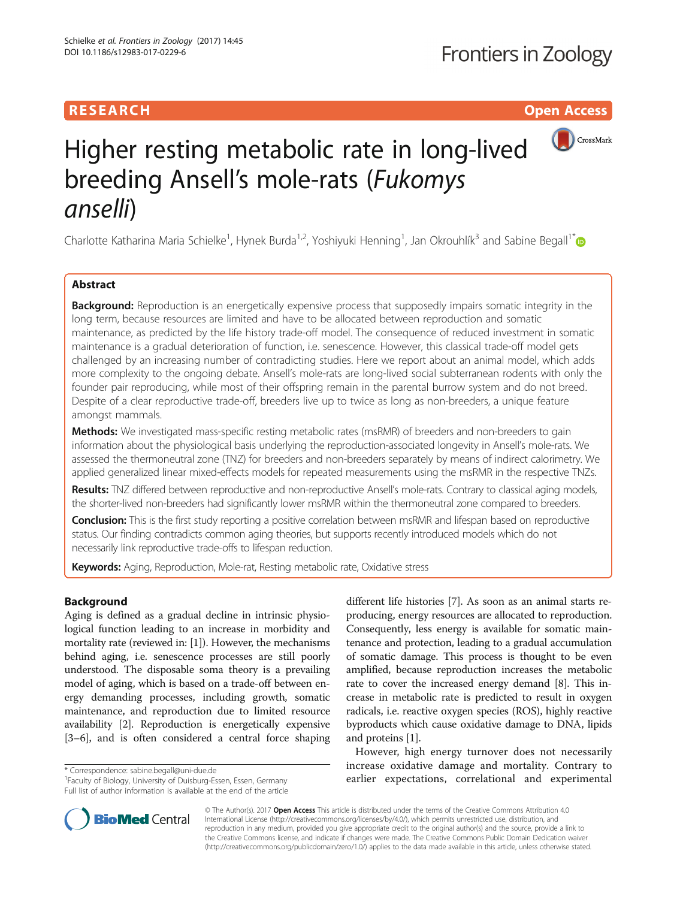# **RESEARCH CHILD CONTROL** CONTROL CONTROL CONTROL CONTROL CONTROL CONTROL CONTROL CONTROL CONTROL CONTROL CONTROL CONTROL CONTROL CONTROL CONTROL CONTROL CONTROL CONTROL CONTROL CONTROL CONTROL CONTROL CONTROL CONTROL CONTR



# Higher resting metabolic rate in long-lived breeding Ansell's mole-rats (Fukomys anselli)

Charlotte Katharina Maria Schielke<sup>1</sup>, Hynek Burda<sup>1,2</sup>, Yoshiyuki Henning<sup>1</sup>, Jan Okrouhlík<sup>3</sup> and Sabine Begall<sup>1\*</sup>

# Abstract

**Background:** Reproduction is an energetically expensive process that supposedly impairs somatic integrity in the long term, because resources are limited and have to be allocated between reproduction and somatic maintenance, as predicted by the life history trade-off model. The consequence of reduced investment in somatic maintenance is a gradual deterioration of function, i.e. senescence. However, this classical trade-off model gets challenged by an increasing number of contradicting studies. Here we report about an animal model, which adds more complexity to the ongoing debate. Ansell's mole-rats are long-lived social subterranean rodents with only the founder pair reproducing, while most of their offspring remain in the parental burrow system and do not breed. Despite of a clear reproductive trade-off, breeders live up to twice as long as non-breeders, a unique feature amongst mammals.

**Methods:** We investigated mass-specific resting metabolic rates (msRMR) of breeders and non-breeders to gain information about the physiological basis underlying the reproduction-associated longevity in Ansell's mole-rats. We assessed the thermoneutral zone (TNZ) for breeders and non-breeders separately by means of indirect calorimetry. We applied generalized linear mixed-effects models for repeated measurements using the msRMR in the respective TNZs.

Results: TNZ differed between reproductive and non-reproductive Ansell's mole-rats. Contrary to classical aging models, the shorter-lived non-breeders had significantly lower msRMR within the thermoneutral zone compared to breeders.

Conclusion: This is the first study reporting a positive correlation between msRMR and lifespan based on reproductive status. Our finding contradicts common aging theories, but supports recently introduced models which do not necessarily link reproductive trade-offs to lifespan reduction.

Keywords: Aging, Reproduction, Mole-rat, Resting metabolic rate, Oxidative stress

# Background

Aging is defined as a gradual decline in intrinsic physiological function leading to an increase in morbidity and mortality rate (reviewed in: [\[1](#page-5-0)]). However, the mechanisms behind aging, i.e. senescence processes are still poorly understood. The disposable soma theory is a prevailing model of aging, which is based on a trade-off between energy demanding processes, including growth, somatic maintenance, and reproduction due to limited resource availability [[2](#page-5-0)]. Reproduction is energetically expensive [[3](#page-5-0)–[6](#page-5-0)], and is often considered a central force shaping

<sup>1</sup> Faculty of Biology, University of Duisburg-Essen, Essen, Germany Full list of author information is available at the end of the article

different life histories [\[7](#page-5-0)]. As soon as an animal starts reproducing, energy resources are allocated to reproduction. Consequently, less energy is available for somatic maintenance and protection, leading to a gradual accumulation of somatic damage. This process is thought to be even amplified, because reproduction increases the metabolic rate to cover the increased energy demand [\[8](#page-5-0)]. This increase in metabolic rate is predicted to result in oxygen radicals, i.e. reactive oxygen species (ROS), highly reactive byproducts which cause oxidative damage to DNA, lipids and proteins [\[1](#page-5-0)].

However, high energy turnover does not necessarily increase oxidative damage and mortality. Contrary to eder experiment to the tearlier expectations, correlational and experimental \* Correspondence: [sabine.begall@uni-due.de](mailto:sabine.begall@uni-due.de) 155sen, Germany<br>
<sup>1</sup>Faculty of Biology, University of Duisburg-Essen, Essen, Germany 1990 1991 1992 19



© The Author(s). 2017 **Open Access** This article is distributed under the terms of the Creative Commons Attribution 4.0 International License [\(http://creativecommons.org/licenses/by/4.0/](http://creativecommons.org/licenses/by/4.0/)), which permits unrestricted use, distribution, and reproduction in any medium, provided you give appropriate credit to the original author(s) and the source, provide a link to the Creative Commons license, and indicate if changes were made. The Creative Commons Public Domain Dedication waiver [\(http://creativecommons.org/publicdomain/zero/1.0/](http://creativecommons.org/publicdomain/zero/1.0/)) applies to the data made available in this article, unless otherwise stated.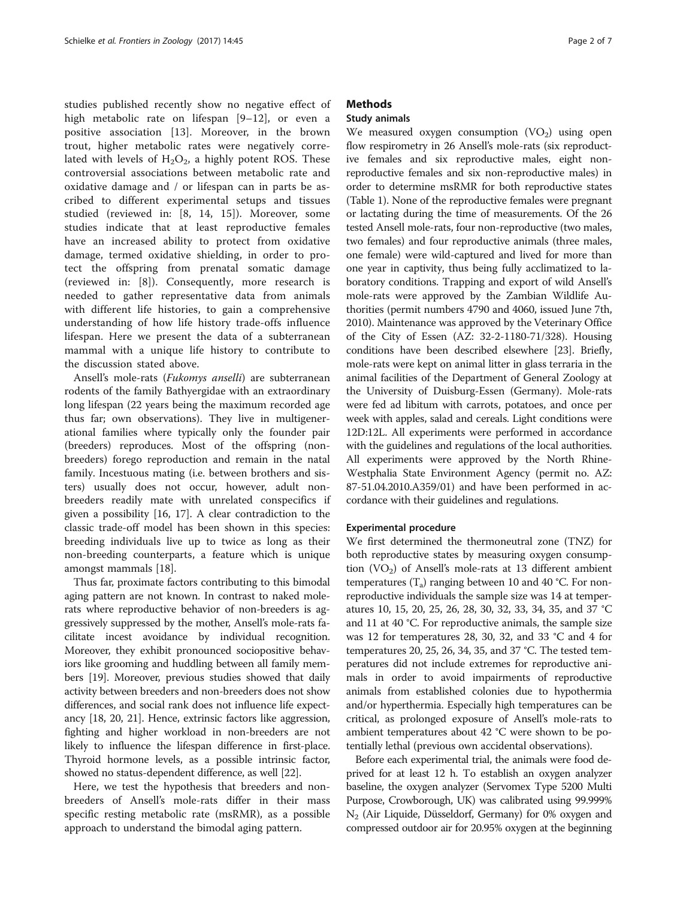<span id="page-1-0"></span>studies published recently show no negative effect of high metabolic rate on lifespan [\[9](#page-5-0)–[12](#page-5-0)], or even a positive association [\[13\]](#page-5-0). Moreover, in the brown trout, higher metabolic rates were negatively correlated with levels of  $H_2O_2$ , a highly potent ROS. These controversial associations between metabolic rate and oxidative damage and / or lifespan can in parts be ascribed to different experimental setups and tissues studied (reviewed in: [\[8](#page-5-0), [14](#page-5-0), [15](#page-5-0)]). Moreover, some studies indicate that at least reproductive females have an increased ability to protect from oxidative damage, termed oxidative shielding, in order to protect the offspring from prenatal somatic damage (reviewed in: [\[8](#page-5-0)]). Consequently, more research is needed to gather representative data from animals with different life histories, to gain a comprehensive understanding of how life history trade-offs influence lifespan. Here we present the data of a subterranean mammal with a unique life history to contribute to the discussion stated above.

Ansell's mole-rats (Fukomys anselli) are subterranean rodents of the family Bathyergidae with an extraordinary long lifespan (22 years being the maximum recorded age thus far; own observations). They live in multigenerational families where typically only the founder pair (breeders) reproduces. Most of the offspring (nonbreeders) forego reproduction and remain in the natal family. Incestuous mating (i.e. between brothers and sisters) usually does not occur, however, adult nonbreeders readily mate with unrelated conspecifics if given a possibility [\[16, 17\]](#page-5-0). A clear contradiction to the classic trade-off model has been shown in this species: breeding individuals live up to twice as long as their non-breeding counterparts, a feature which is unique amongst mammals [\[18\]](#page-5-0).

Thus far, proximate factors contributing to this bimodal aging pattern are not known. In contrast to naked molerats where reproductive behavior of non-breeders is aggressively suppressed by the mother, Ansell's mole-rats facilitate incest avoidance by individual recognition. Moreover, they exhibit pronounced sociopositive behaviors like grooming and huddling between all family members [\[19\]](#page-5-0). Moreover, previous studies showed that daily activity between breeders and non-breeders does not show differences, and social rank does not influence life expectancy [[18](#page-5-0), [20](#page-5-0), [21\]](#page-5-0). Hence, extrinsic factors like aggression, fighting and higher workload in non-breeders are not likely to influence the lifespan difference in first-place. Thyroid hormone levels, as a possible intrinsic factor, showed no status-dependent difference, as well [\[22\]](#page-5-0).

Here, we test the hypothesis that breeders and nonbreeders of Ansell's mole-rats differ in their mass specific resting metabolic rate (msRMR), as a possible approach to understand the bimodal aging pattern.

# **Methods**

# Study animals

We measured oxygen consumption  $(VO<sub>2</sub>)$  using open flow respirometry in 26 Ansell's mole-rats (six reproductive females and six reproductive males, eight nonreproductive females and six non-reproductive males) in order to determine msRMR for both reproductive states (Table [1](#page-2-0)). None of the reproductive females were pregnant or lactating during the time of measurements. Of the 26 tested Ansell mole-rats, four non-reproductive (two males, two females) and four reproductive animals (three males, one female) were wild-captured and lived for more than one year in captivity, thus being fully acclimatized to laboratory conditions. Trapping and export of wild Ansell's mole-rats were approved by the Zambian Wildlife Authorities (permit numbers 4790 and 4060, issued June 7th, 2010). Maintenance was approved by the Veterinary Office of the City of Essen (AZ: 32-2-1180-71/328). Housing conditions have been described elsewhere [[23](#page-5-0)]. Briefly, mole-rats were kept on animal litter in glass terraria in the animal facilities of the Department of General Zoology at the University of Duisburg-Essen (Germany). Mole-rats were fed ad libitum with carrots, potatoes, and once per week with apples, salad and cereals. Light conditions were 12D:12L. All experiments were performed in accordance with the guidelines and regulations of the local authorities. All experiments were approved by the North Rhine-Westphalia State Environment Agency (permit no. AZ: 87-51.04.2010.A359/01) and have been performed in accordance with their guidelines and regulations.

#### Experimental procedure

We first determined the thermoneutral zone (TNZ) for both reproductive states by measuring oxygen consumption  $(VO<sub>2</sub>)$  of Ansell's mole-rats at 13 different ambient temperatures  $(T_a)$  ranging between 10 and 40 °C. For nonreproductive individuals the sample size was 14 at temperatures 10, 15, 20, 25, 26, 28, 30, 32, 33, 34, 35, and 37 °C and 11 at 40 °C. For reproductive animals, the sample size was 12 for temperatures 28, 30, 32, and 33 °C and 4 for temperatures 20, 25, 26, 34, 35, and 37 °C. The tested temperatures did not include extremes for reproductive animals in order to avoid impairments of reproductive animals from established colonies due to hypothermia and/or hyperthermia. Especially high temperatures can be critical, as prolonged exposure of Ansell's mole-rats to ambient temperatures about 42 °C were shown to be potentially lethal (previous own accidental observations).

Before each experimental trial, the animals were food deprived for at least 12 h. To establish an oxygen analyzer baseline, the oxygen analyzer (Servomex Type 5200 Multi Purpose, Crowborough, UK) was calibrated using 99.999%  $N<sub>2</sub>$  (Air Liquide, Düsseldorf, Germany) for 0% oxygen and compressed outdoor air for 20.95% oxygen at the beginning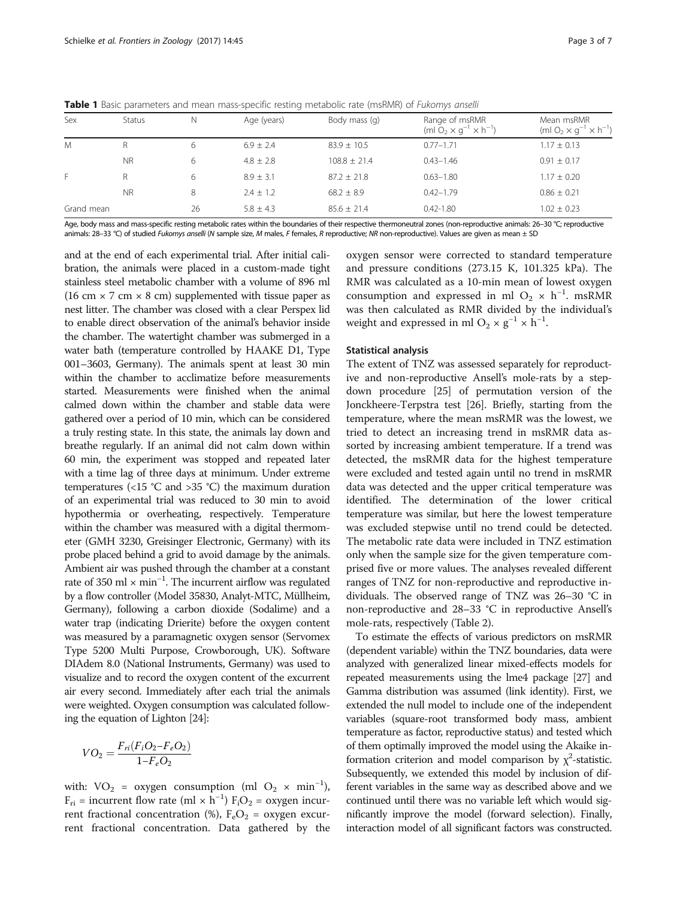| Sex        | Status    | N  | Age (years)   | Body mass (g)    | Range of msRMR<br>(ml $O_2 \times g^{-1} \times h^{-1}$ ) | Mean msRMR<br>(ml $O_2 \times g^{-1} \times h^{-1}$ ) |
|------------|-----------|----|---------------|------------------|-----------------------------------------------------------|-------------------------------------------------------|
| M          | R         | 6  | $6.9 + 2.4$   | $83.9 \pm 10.5$  | $0.77 - 1.71$                                             | $1.17 \pm 0.13$                                       |
|            | <b>NR</b> | 6  | $4.8 \pm 2.8$ | $108.8 \pm 21.4$ | $0.43 - 1.46$                                             | $0.91 \pm 0.17$                                       |
| F.         | R         | 6  | $8.9 + 3.1$   | $87.2 + 21.8$    | $0.63 - 1.80$                                             | $1.17 \pm 0.20$                                       |
|            | <b>NR</b> | 8  | $2.4 \pm 1.2$ | $68.2 + 8.9$     | $0.42 - 1.79$                                             | $0.86 \pm 0.21$                                       |
| Grand mean |           | 26 | $5.8 + 4.3$   | $85.6 + 21.4$    | $0.42 - 1.80$                                             | $1.02 \pm 0.23$                                       |

<span id="page-2-0"></span>Table 1 Basic parameters and mean mass-specific resting metabolic rate (msRMR) of Fukomys anselli

Age, body mass and mass-specific resting metabolic rates within the boundaries of their respective thermoneutral zones (non-reproductive animals: 26-30 °C; reproductive animals: 28-33 °C) of studied Fukomys anselli (N sample size, M males, F females, R reproductive; NR non-reproductive). Values are given as mean ± SD

and at the end of each experimental trial. After initial calibration, the animals were placed in a custom-made tight stainless steel metabolic chamber with a volume of 896 ml (16 cm  $\times$  7 cm  $\times$  8 cm) supplemented with tissue paper as nest litter. The chamber was closed with a clear Perspex lid to enable direct observation of the animal's behavior inside the chamber. The watertight chamber was submerged in a water bath (temperature controlled by HAAKE D1, Type 001–3603, Germany). The animals spent at least 30 min within the chamber to acclimatize before measurements started. Measurements were finished when the animal calmed down within the chamber and stable data were gathered over a period of 10 min, which can be considered a truly resting state. In this state, the animals lay down and breathe regularly. If an animal did not calm down within 60 min, the experiment was stopped and repeated later with a time lag of three days at minimum. Under extreme temperatures ( $\lt 15$  °C and  $>35$  °C) the maximum duration of an experimental trial was reduced to 30 min to avoid hypothermia or overheating, respectively. Temperature within the chamber was measured with a digital thermometer (GMH 3230, Greisinger Electronic, Germany) with its probe placed behind a grid to avoid damage by the animals. Ambient air was pushed through the chamber at a constant rate of 350 ml × min−<sup>1</sup> . The incurrent airflow was regulated by a flow controller (Model 35830, Analyt-MTC, Müllheim, Germany), following a carbon dioxide (Sodalime) and a water trap (indicating Drierite) before the oxygen content was measured by a paramagnetic oxygen sensor (Servomex Type 5200 Multi Purpose, Crowborough, UK). Software DIAdem 8.0 (National Instruments, Germany) was used to visualize and to record the oxygen content of the excurrent air every second. Immediately after each trial the animals were weighted. Oxygen consumption was calculated following the equation of Lighton [\[24\]](#page-5-0):

$$
VO_2 = \frac{F_{ri}(F_iO_2 - F_eO_2)}{1 - F_eO_2}
$$

with:  $VO_2 = oxygen consumption (ml O_2 \times min^{-1}),$  $F_{ri}$  = incurrent flow rate (ml × h<sup>-1</sup>)  $F_iO_2$  = oxygen incurrent fractional concentration (%),  $F_eO_2$  = oxygen excurrent fractional concentration. Data gathered by the oxygen sensor were corrected to standard temperature and pressure conditions (273.15 K, 101.325 kPa). The RMR was calculated as a 10-min mean of lowest oxygen consumption and expressed in ml O<sub>2</sub> × h<sup>-1</sup>. msRMR was then calculated as RMR divided by the individual's weight and expressed in ml O<sub>2</sub> ×  $g^{-1}$  × h<sup>-1</sup>.

#### Statistical analysis

The extent of TNZ was assessed separately for reproductive and non-reproductive Ansell's mole-rats by a stepdown procedure [\[25](#page-5-0)] of permutation version of the Jonckheere-Terpstra test [\[26](#page-5-0)]. Briefly, starting from the temperature, where the mean msRMR was the lowest, we tried to detect an increasing trend in msRMR data assorted by increasing ambient temperature. If a trend was detected, the msRMR data for the highest temperature were excluded and tested again until no trend in msRMR data was detected and the upper critical temperature was identified. The determination of the lower critical temperature was similar, but here the lowest temperature was excluded stepwise until no trend could be detected. The metabolic rate data were included in TNZ estimation only when the sample size for the given temperature comprised five or more values. The analyses revealed different ranges of TNZ for non-reproductive and reproductive individuals. The observed range of TNZ was 26–30 °C in non-reproductive and 28–33 °C in reproductive Ansell's mole-rats, respectively (Table [2](#page-3-0)).

To estimate the effects of various predictors on msRMR (dependent variable) within the TNZ boundaries, data were analyzed with generalized linear mixed-effects models for repeated measurements using the lme4 package [\[27\]](#page-5-0) and Gamma distribution was assumed (link identity). First, we extended the null model to include one of the independent variables (square-root transformed body mass, ambient temperature as factor, reproductive status) and tested which of them optimally improved the model using the Akaike information criterion and model comparison by  $\chi^2$ -statistic. Subsequently, we extended this model by inclusion of different variables in the same way as described above and we continued until there was no variable left which would significantly improve the model (forward selection). Finally, interaction model of all significant factors was constructed.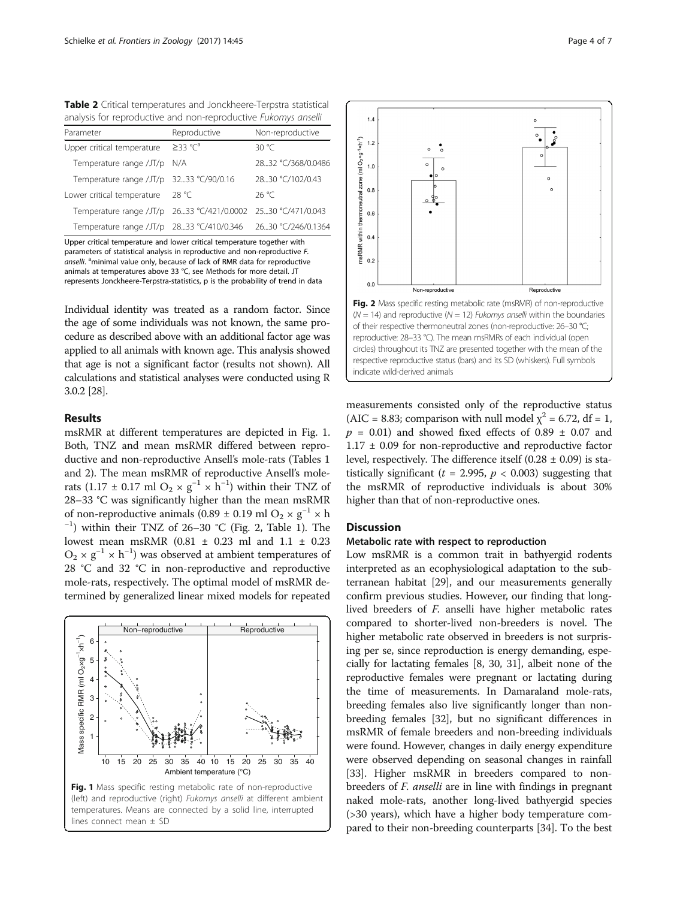<span id="page-3-0"></span>Table 2 Critical temperatures and Jonckheere-Terpstra statistical analysis for reproductive and non-reproductive Fukomys anselli

| Parameter                                                    | Reproductive          | Non-reproductive   |  |
|--------------------------------------------------------------|-----------------------|--------------------|--|
| Upper critical temperature                                   | $>33$ °C <sup>a</sup> | 30 $^{\circ}$ C    |  |
| Temperature range /JT/p                                      | N/A                   | 2832 °C/368/0.0486 |  |
| Temperature range /JT/p 3233 °C/90/0.16                      |                       | 28.30 °C/102/0.43  |  |
| Lower critical temperature                                   | 28 °C                 | 26 °C              |  |
| Temperature range /JT/p 2633 °C/421/0.0002 2530 °C/471/0.043 |                       |                    |  |
| Temperature range /JT/p 2833 °C/410/0.346                    |                       | 2630 °C/246/0.1364 |  |

Upper critical temperature and lower critical temperature together with parameters of statistical analysis in reproductive and non-reproductive F.<br>anselli. <sup>a</sup>minimal value only, because of lack of RMR data for reproductive<br>animals at temperatures above 33 °C see Methods for more detail. IT animals at temperatures above 33 °C, see [Methods](#page-1-0) for more detail. JT represents Jonckheere-Terpstra-statistics, p is the probability of trend in data

Individual identity was treated as a random factor. Since the age of some individuals was not known, the same procedure as described above with an additional factor age was applied to all animals with known age. This analysis showed that age is not a significant factor (results not shown). All calculations and statistical analyses were conducted using R 3.0.2 [\[28\]](#page-5-0).

### Results

msRMR at different temperatures are depicted in Fig. 1. Both, TNZ and mean msRMR differed between reproductive and non-reproductive Ansell's mole-rats (Tables [1](#page-2-0) and 2). The mean msRMR of reproductive Ansell's molerats (1.17 ± 0.17 ml  $O_2 \times g^{-1} \times h^{-1}$ ) within their TNZ of 28–33 °C was significantly higher than the mean msRMR of non-reproductive animals (0.89 ± 0.19 ml O<sub>2</sub> ×  $g^{-1}$  × h  $^{-1}$ ) within their TNZ of 26–30 °C (Fig. 2, Table [1](#page-2-0)). The lowest mean msRMR (0.81 ± 0.23 ml and 1.1 ± 0.23  $O_2 \times g^{-1} \times h^{-1}$ ) was observed at ambient temperatures of 28 °C and 32 °C in non-reproductive and reproductive mole-rats, respectively. The optimal model of msRMR determined by generalized linear mixed models for repeated





measurements consisted only of the reproductive status (AIC = 8.83; comparison with null model  $\chi^2$  = 6.72, df = 1,  $p = 0.01$ ) and showed fixed effects of 0.89  $\pm$  0.07 and  $1.17 \pm 0.09$  for non-reproductive and reproductive factor level, respectively. The difference itself  $(0.28 \pm 0.09)$  is statistically significant ( $t = 2.995$ ,  $p < 0.003$ ) suggesting that the msRMR of reproductive individuals is about 30% higher than that of non-reproductive ones.

# **Discussion**

#### Metabolic rate with respect to reproduction

Low msRMR is a common trait in bathyergid rodents interpreted as an ecophysiological adaptation to the subterranean habitat [[29](#page-5-0)], and our measurements generally confirm previous studies. However, our finding that longlived breeders of F. anselli have higher metabolic rates compared to shorter-lived non-breeders is novel. The higher metabolic rate observed in breeders is not surprising per se, since reproduction is energy demanding, especially for lactating females [\[8](#page-5-0), [30, 31](#page-5-0)], albeit none of the reproductive females were pregnant or lactating during the time of measurements. In Damaraland mole-rats, breeding females also live significantly longer than nonbreeding females [[32](#page-5-0)], but no significant differences in msRMR of female breeders and non-breeding individuals were found. However, changes in daily energy expenditure were observed depending on seasonal changes in rainfall [[33](#page-6-0)]. Higher msRMR in breeders compared to nonbreeders of F. anselli are in line with findings in pregnant naked mole-rats, another long-lived bathyergid species (>30 years), which have a higher body temperature compared to their non-breeding counterparts [\[34](#page-6-0)]. To the best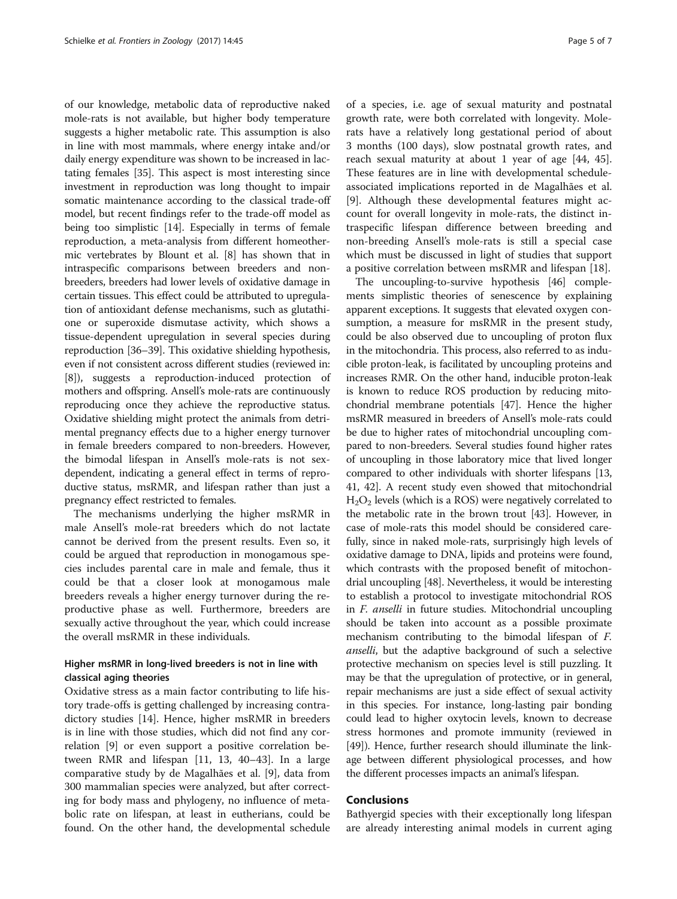of our knowledge, metabolic data of reproductive naked mole-rats is not available, but higher body temperature suggests a higher metabolic rate. This assumption is also in line with most mammals, where energy intake and/or daily energy expenditure was shown to be increased in lactating females [[35](#page-6-0)]. This aspect is most interesting since investment in reproduction was long thought to impair somatic maintenance according to the classical trade-off model, but recent findings refer to the trade-off model as being too simplistic [\[14\]](#page-5-0). Especially in terms of female reproduction, a meta-analysis from different homeothermic vertebrates by Blount et al. [\[8](#page-5-0)] has shown that in intraspecific comparisons between breeders and nonbreeders, breeders had lower levels of oxidative damage in certain tissues. This effect could be attributed to upregulation of antioxidant defense mechanisms, such as glutathione or superoxide dismutase activity, which shows a tissue-dependent upregulation in several species during reproduction [[36](#page-6-0)–[39\]](#page-6-0). This oxidative shielding hypothesis, even if not consistent across different studies (reviewed in: [[8\]](#page-5-0)), suggests a reproduction-induced protection of mothers and offspring. Ansell's mole-rats are continuously reproducing once they achieve the reproductive status. Oxidative shielding might protect the animals from detrimental pregnancy effects due to a higher energy turnover in female breeders compared to non-breeders. However, the bimodal lifespan in Ansell's mole-rats is not sexdependent, indicating a general effect in terms of reproductive status, msRMR, and lifespan rather than just a pregnancy effect restricted to females.

The mechanisms underlying the higher msRMR in male Ansell's mole-rat breeders which do not lactate cannot be derived from the present results. Even so, it could be argued that reproduction in monogamous species includes parental care in male and female, thus it could be that a closer look at monogamous male breeders reveals a higher energy turnover during the reproductive phase as well. Furthermore, breeders are sexually active throughout the year, which could increase the overall msRMR in these individuals.

# Higher msRMR in long-lived breeders is not in line with classical aging theories

Oxidative stress as a main factor contributing to life history trade-offs is getting challenged by increasing contradictory studies [[14\]](#page-5-0). Hence, higher msRMR in breeders is in line with those studies, which did not find any correlation [\[9\]](#page-5-0) or even support a positive correlation between RMR and lifespan [\[11](#page-5-0), [13,](#page-5-0) [40](#page-6-0)–[43](#page-6-0)]. In a large comparative study by de Magalhães et al. [[9\]](#page-5-0), data from 300 mammalian species were analyzed, but after correcting for body mass and phylogeny, no influence of metabolic rate on lifespan, at least in eutherians, could be found. On the other hand, the developmental schedule of a species, i.e. age of sexual maturity and postnatal growth rate, were both correlated with longevity. Molerats have a relatively long gestational period of about 3 months (100 days), slow postnatal growth rates, and reach sexual maturity at about 1 year of age [[44, 45](#page-6-0)]. These features are in line with developmental scheduleassociated implications reported in de Magalhães et al. [[9\]](#page-5-0). Although these developmental features might account for overall longevity in mole-rats, the distinct intraspecific lifespan difference between breeding and non-breeding Ansell's mole-rats is still a special case which must be discussed in light of studies that support a positive correlation between msRMR and lifespan [\[18\]](#page-5-0).

The uncoupling-to-survive hypothesis [\[46\]](#page-6-0) complements simplistic theories of senescence by explaining apparent exceptions. It suggests that elevated oxygen consumption, a measure for msRMR in the present study, could be also observed due to uncoupling of proton flux in the mitochondria. This process, also referred to as inducible proton-leak, is facilitated by uncoupling proteins and increases RMR. On the other hand, inducible proton-leak is known to reduce ROS production by reducing mitochondrial membrane potentials [[47](#page-6-0)]. Hence the higher msRMR measured in breeders of Ansell's mole-rats could be due to higher rates of mitochondrial uncoupling compared to non-breeders. Several studies found higher rates of uncoupling in those laboratory mice that lived longer compared to other individuals with shorter lifespans [[13](#page-5-0), [41](#page-6-0), [42](#page-6-0)]. A recent study even showed that mitochondrial  $H<sub>2</sub>O<sub>2</sub>$  levels (which is a ROS) were negatively correlated to the metabolic rate in the brown trout [\[43\]](#page-6-0). However, in case of mole-rats this model should be considered carefully, since in naked mole-rats, surprisingly high levels of oxidative damage to DNA, lipids and proteins were found, which contrasts with the proposed benefit of mitochondrial uncoupling [\[48\]](#page-6-0). Nevertheless, it would be interesting to establish a protocol to investigate mitochondrial ROS in F. anselli in future studies. Mitochondrial uncoupling should be taken into account as a possible proximate mechanism contributing to the bimodal lifespan of F. anselli, but the adaptive background of such a selective protective mechanism on species level is still puzzling. It may be that the upregulation of protective, or in general, repair mechanisms are just a side effect of sexual activity in this species. For instance, long-lasting pair bonding could lead to higher oxytocin levels, known to decrease stress hormones and promote immunity (reviewed in [[49](#page-6-0)]). Hence, further research should illuminate the linkage between different physiological processes, and how the different processes impacts an animal's lifespan.

# Conclusions

Bathyergid species with their exceptionally long lifespan are already interesting animal models in current aging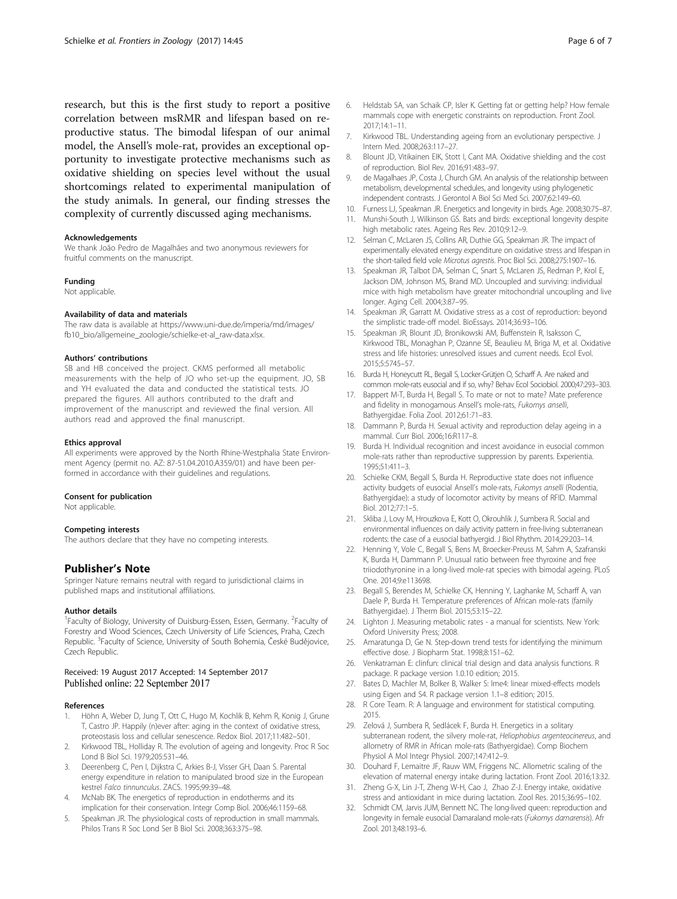<span id="page-5-0"></span>research, but this is the first study to report a positive correlation between msRMR and lifespan based on reproductive status. The bimodal lifespan of our animal model, the Ansell's mole-rat, provides an exceptional opportunity to investigate protective mechanisms such as oxidative shielding on species level without the usual shortcomings related to experimental manipulation of the study animals. In general, our finding stresses the complexity of currently discussed aging mechanisms.

#### Acknowledgements

We thank João Pedro de Magalhães and two anonymous reviewers for fruitful comments on the manuscript.

#### Funding

Not applicable.

#### Availability of data and materials

The raw data is available at [https://www.uni-due.de/imperia/md/images/](https://www.uni-due.de/imperia/md/images/fb10_bio/allgemeine_zoologie/schielke-et-al_raw-data.xlsx) [fb10\\_bio/allgemeine\\_zoologie/schielke-et-al\\_raw-data.xlsx](https://www.uni-due.de/imperia/md/images/fb10_bio/allgemeine_zoologie/schielke-et-al_raw-data.xlsx).

#### Authors' contributions

SB and HB conceived the project. CKMS performed all metabolic measurements with the help of JO who set-up the equipment. JO, SB and YH evaluated the data and conducted the statistical tests. JO prepared the figures. All authors contributed to the draft and improvement of the manuscript and reviewed the final version. All authors read and approved the final manuscript.

#### Ethics approval

All experiments were approved by the North Rhine-Westphalia State Environment Agency (permit no. AZ: 87-51.04.2010.A359/01) and have been performed in accordance with their guidelines and regulations.

#### Consent for publication

Not applicable.

#### Competing interests

The authors declare that they have no competing interests.

#### Publisher's Note

Springer Nature remains neutral with regard to jurisdictional claims in published maps and institutional affiliations.

#### Author details

<sup>1</sup> Faculty of Biology, University of Duisburg-Essen, Essen, Germany. <sup>2</sup> Faculty of Forestry and Wood Sciences, Czech University of Life Sciences, Praha, Czech Republic. <sup>3</sup>Faculty of Science, University of South Bohemia, České Budějovice, Czech Republic.

#### Received: 19 August 2017 Accepted: 14 September 2017 Published online: 22 September 2017

#### References

- 1. Höhn A, Weber D, Jung T, Ott C, Hugo M, Kochlik B, Kehm R, Konig J, Grune T, Castro JP. Happily (n)ever after: aging in the context of oxidative stress, proteostasis loss and cellular senescence. Redox Biol. 2017;11:482–501.
- 2. Kirkwood TBL, Holliday R. The evolution of ageing and longevity. Proc R Soc Lond B Biol Sci. 1979;205:531–46.
- 3. Deerenberg C, Pen I, Dijkstra C, Arkies B-J, Visser GH, Daan S. Parental energy expenditure in relation to manipulated brood size in the European kestrel Falco tinnunculus. ZACS. 1995;99:39–48.
- 4. McNab BK. The energetics of reproduction in endotherms and its implication for their conservation. Integr Comp Biol. 2006;46:1159–68.
- 5. Speakman JR. The physiological costs of reproduction in small mammals. Philos Trans R Soc Lond Ser B Biol Sci. 2008;363:375–98.
- 6. Heldstab SA, van Schaik CP, Isler K. Getting fat or getting help? How female mammals cope with energetic constraints on reproduction. Front Zool. 2017;14:1–11.
- 7. Kirkwood TBL. Understanding ageing from an evolutionary perspective. J Intern Med. 2008;263:117–27.
- 8. Blount JD, Vitikainen EIK, Stott I, Cant MA. Oxidative shielding and the cost of reproduction. Biol Rev. 2016;91:483–97.
- 9. de Magalhaes JP, Costa J, Church GM. An analysis of the relationship between metabolism, developmental schedules, and longevity using phylogenetic independent contrasts. J Gerontol A Biol Sci Med Sci. 2007;62:149–60.
- 10. Furness LJ, Speakman JR. Energetics and longevity in birds. Age. 2008;30:75–87.
- 11. Munshi-South J, Wilkinson GS. Bats and birds: exceptional longevity despite high metabolic rates. Ageing Res Rev. 2010;9:12–9.
- 12. Selman C, McLaren JS, Collins AR, Duthie GG, Speakman JR. The impact of experimentally elevated energy expenditure on oxidative stress and lifespan in the short-tailed field vole Microtus agrestis. Proc Biol Sci. 2008;275:1907–16.
- 13. Speakman JR, Talbot DA, Selman C, Snart S, McLaren JS, Redman P, Krol E, Jackson DM, Johnson MS, Brand MD. Uncoupled and surviving: individual mice with high metabolism have greater mitochondrial uncoupling and live longer. Aging Cell. 2004;3:87–95.
- 14. Speakman JR, Garratt M. Oxidative stress as a cost of reproduction: beyond the simplistic trade-off model. BioEssays. 2014;36:93–106.
- 15. Speakman JR, Blount JD, Bronikowski AM, Buffenstein R, Isaksson C, Kirkwood TBL, Monaghan P, Ozanne SE, Beaulieu M, Briga M, et al. Oxidative stress and life histories: unresolved issues and current needs. Ecol Evol. 2015;5:5745–57.
- 16. Burda H, Honeycutt RL, Begall S, Locker-Grütjen O, Scharff A. Are naked and common mole-rats eusocial and if so, why? Behav Ecol Sociobiol. 2000;47:293–303.
- 17. Bappert M-T, Burda H, Begall S. To mate or not to mate? Mate preference and fidelity in monogamous Ansell's mole-rats, Fukomys anselli, Bathyergidae. Folia Zool. 2012;61:71–83.
- 18. Dammann P, Burda H. Sexual activity and reproduction delay ageing in a mammal. Curr Biol. 2006;16:R117–8.
- 19. Burda H. Individual recognition and incest avoidance in eusocial common mole-rats rather than reproductive suppression by parents. Experientia. 1995;51:411–3.
- 20. Schielke CKM, Begall S, Burda H. Reproductive state does not influence activity budgets of eusocial Ansell's mole-rats, Fukomys anselli (Rodentia, Bathyergidae): a study of locomotor activity by means of RFID. Mammal Biol. 2012;77:1–5.
- 21. Skliba J, Lovy M, Hrouzkova E, Kott O, Okrouhlik J, Sumbera R. Social and environmental influences on daily activity pattern in free-living subterranean rodents: the case of a eusocial bathyergid. J Biol Rhythm. 2014;29:203–14.
- 22. Henning Y, Vole C, Begall S, Bens M, Broecker-Preuss M, Sahm A, Szafranski K, Burda H, Dammann P. Unusual ratio between free thyroxine and free triiodothyronine in a long-lived mole-rat species with bimodal ageing. PLoS One. 2014;9:e113698.
- 23. Begall S, Berendes M, Schielke CK, Henning Y, Laghanke M, Scharff A, van Daele P, Burda H. Temperature preferences of African mole-rats (family Bathyergidae). J Therm Biol. 2015;53:15–22.
- 24. Lighton J. Measuring metabolic rates a manual for scientists. New York: Oxford University Press; 2008.
- 25. Amaratunga D, Ge N. Step-down trend tests for identifying the minimum effective dose. J Biopharm Stat. 1998;8:151–62.
- 26. Venkatraman E: clinfun: clinical trial design and data analysis functions. R package. R package version 1.0.10 edition; 2015.
- 27. Bates D, Machler M, Bolker B, Walker S: lme4: linear mixed-effects models using Eigen and S4. R package version 1.1–8 edition; 2015.
- 28. R Core Team. R: A language and environment for statistical computing. 2015.
- 29. Zelová J, Sumbera R, Sedlácek F, Burda H. Energetics in a solitary subterranean rodent, the silvery mole-rat, Heliophobius argenteocinereus, and allometry of RMR in African mole-rats (Bathyergidae). Comp Biochem Physiol A Mol Integr Physiol. 2007;147:412–9.
- 30. Douhard F, Lemaitre JF, Rauw WM, Friggens NC. Allometric scaling of the elevation of maternal energy intake during lactation. Front Zool. 2016;13:32.
- 31. Zheng G-X, Lin J-T, Zheng W-H, Cao J, Zhao Z-J. Energy intake, oxidative stress and antioxidant in mice during lactation. Zool Res. 2015;36:95–102.
- 32. Schmidt CM, Jarvis JUM, Bennett NC. The long-lived queen: reproduction and longevity in female eusocial Damaraland mole-rats (Fukomys damarensis). Afr Zool. 2013;48:193–6.